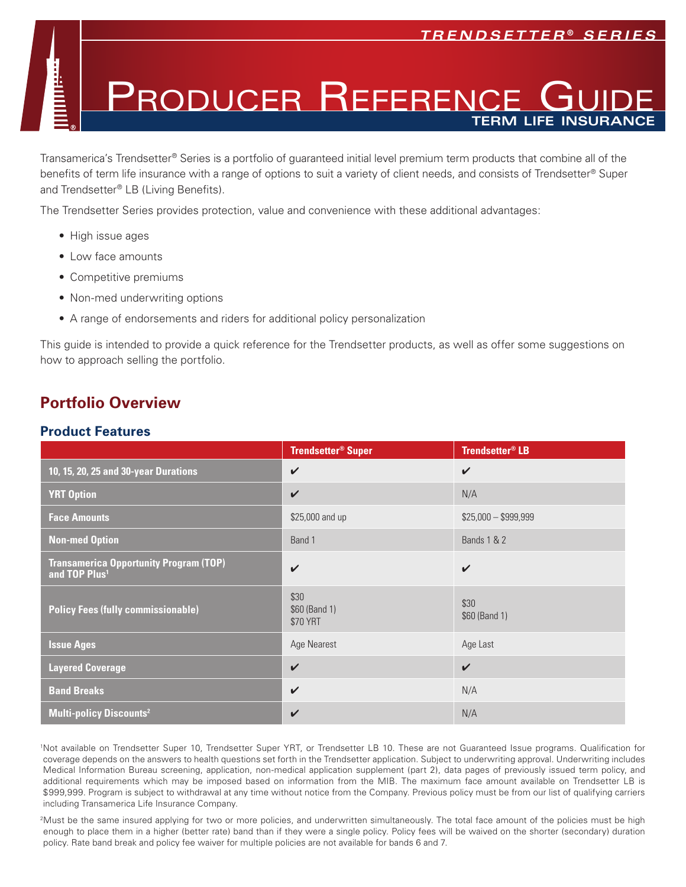## RODUCER REFERENC **term life insurance**

Transamerica's Trendsetter® Series is a portfolio of guaranteed initial level premium term products that combine all of the benefits of term life insurance with a range of options to suit a variety of client needs, and consists of Trendsetter® Super and Trendsetter® LB (Living Benefits).

The Trendsetter Series provides protection, value and convenience with these additional advantages:

- High issue ages
- Low face amounts
- Competitive premiums
- Non-med underwriting options
- A range of endorsements and riders for additional policy personalization

This guide is intended to provide a quick reference for the Trendsetter products, as well as offer some suggestions on how to approach selling the portfolio.

## **Portfolio Overview**

### **Product Features**

|                                                                            | <b>Trendsetter<sup>®</sup> Super</b> | Trendsetter <sup>®</sup> LB |
|----------------------------------------------------------------------------|--------------------------------------|-----------------------------|
| 10, 15, 20, 25 and 30-year Durations                                       | $\checkmark$                         | $\checkmark$                |
| <b>YRT Option</b>                                                          | $\checkmark$                         | N/A                         |
| <b>Face Amounts</b>                                                        | \$25,000 and up                      | $$25,000 - $999,999$        |
| <b>Non-med Option</b>                                                      | Band 1                               | <b>Bands 1 &amp; 2</b>      |
| <b>Transamerica Opportunity Program (TOP)</b><br>and TOP Plus <sup>1</sup> | $\checkmark$                         | $\checkmark$                |
| <b>Policy Fees (fully commissionable)</b>                                  | \$30<br>\$60 (Band 1)<br>\$70 YRT    | \$30<br>\$60 (Band 1)       |
| <b>Issue Ages</b>                                                          | Age Nearest                          | Age Last                    |
| <b>Layered Coverage</b>                                                    | $\checkmark$                         | $\checkmark$                |
| <b>Band Breaks</b>                                                         | $\checkmark$                         | N/A                         |
| <b>Multi-policy Discounts<sup>2</sup></b>                                  | $\checkmark$                         | N/A                         |

1 Not available on Trendsetter Super 10, Trendsetter Super YRT, or Trendsetter LB 10. These are not Guaranteed Issue programs. Qualification for coverage depends on the answers to health questions set forth in the Trendsetter application. Subject to underwriting approval. Underwriting includes Medical Information Bureau screening, application, non-medical application supplement (part 2), data pages of previously issued term policy, and additional requirements which may be imposed based on information from the MIB. The maximum face amount available on Trendsetter LB is \$999,999. Program is subject to withdrawal at any time without notice from the Company. Previous policy must be from our list of qualifying carriers including Transamerica Life Insurance Company.

<sup>2</sup>Must be the same insured applying for two or more policies, and underwritten simultaneously. The total face amount of the policies must be high enough to place them in a higher (better rate) band than if they were a single policy. Policy fees will be waived on the shorter (secondary) duration policy. Rate band break and policy fee waiver for multiple policies are not available for bands 6 and 7.